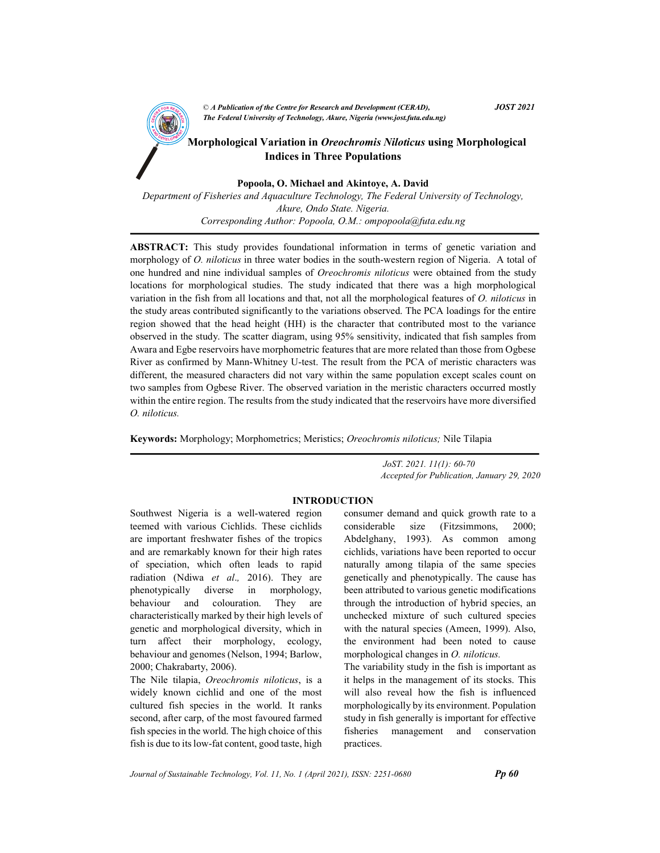

 $\mathbb{R}$  Morphological Variation in *Oreochromis Niloticus* using Morphological Indices in Three Populations

Popoola, O. Michael and Akintoye, A. David

Department of Fisheries and Aquaculture Technology, The Federal University of Technology, Akure, Ondo State. Nigeria. Corresponding Author: Popoola, O.M.: ompopoola@futa.edu.ng

ABSTRACT: This study provides foundational information in terms of genetic variation and morphology of O. niloticus in three water bodies in the south-western region of Nigeria. A total of one hundred and nine individual samples of *Oreochromis niloticus* were obtained from the study locations for morphological studies. The study indicated that there was a high morphological variation in the fish from all locations and that, not all the morphological features of O. niloticus in the study areas contributed significantly to the variations observed. The PCA loadings for the entire region showed that the head height (HH) is the character that contributed most to the variance observed in the study. The scatter diagram, using 95% sensitivity, indicated that fish samples from Awara and Egbe reservoirs have morphometric features that are more related than those from Ogbese River as confirmed by Mann-Whitney U-test. The result from the PCA of meristic characters was different, the measured characters did not vary within the same population except scales count on two samples from Ogbese River. The observed variation in the meristic characters occurred mostly within the entire region. The results from the study indicated that the reservoirs have more diversified O. niloticus.

Keywords: Morphology; Morphometrics; Meristics; Oreochromis niloticus; Nile Tilapia

 JoST. 2021. 11(1): 60-70 Accepted for Publication, January 29, 2020

## INTRODUCTION

Southwest Nigeria is a well-watered region teemed with various Cichlids. These cichlids are important freshwater fishes of the tropics and are remarkably known for their high rates of speciation, which often leads to rapid radiation (Ndiwa et al., 2016). They are phenotypically diverse in morphology, behaviour and colouration. They are characteristically marked by their high levels of genetic and morphological diversity, which in turn affect their morphology, ecology, behaviour and genomes (Nelson, 1994; Barlow, 2000; Chakrabarty, 2006).

The Nile tilapia, Oreochromis niloticus, is a widely known cichlid and one of the most cultured fish species in the world. It ranks second, after carp, of the most favoured farmed fish species in the world. The high choice of this fish is due to its low-fat content, good taste, high consumer demand and quick growth rate to a considerable size (Fitzsimmons, 2000; Abdelghany, 1993). As common among cichlids, variations have been reported to occur naturally among tilapia of the same species genetically and phenotypically. The cause has been attributed to various genetic modifications through the introduction of hybrid species, an unchecked mixture of such cultured species with the natural species (Ameen, 1999). Also, the environment had been noted to cause morphological changes in *O. niloticus*.

The variability study in the fish is important as it helps in the management of its stocks. This will also reveal how the fish is influenced morphologically by its environment. Population study in fish generally is important for effective fisheries management and conservation practices.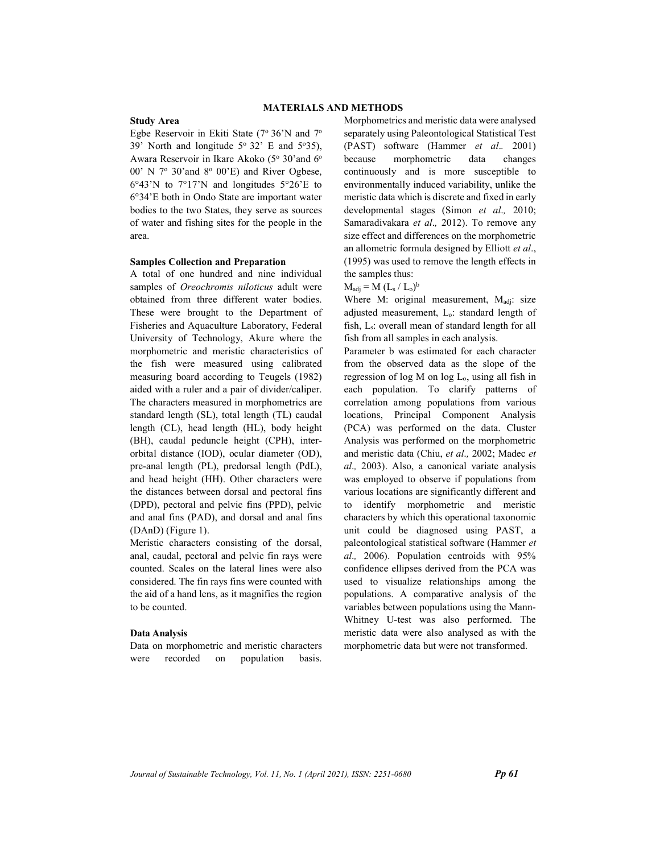### MATERIALS AND METHODS

#### Study Area

Egbe Reservoir in Ekiti State ( $7^{\circ}$  36'N and  $7^{\circ}$ ) 39' North and longitude  $5^{\circ}$  32' E and  $5^{\circ}$ 35), Awara Reservoir in Ikare Akoko (5° 30'and 6° 00' N 7° 30'and 8° 00'E) and River Ogbese, 6°43'N to 7°17'N and longitudes 5°26'E to 6°34'E both in Ondo State are important water bodies to the two States, they serve as sources of water and fishing sites for the people in the area.

#### Samples Collection and Preparation

A total of one hundred and nine individual samples of Oreochromis niloticus adult were obtained from three different water bodies. These were brought to the Department of Fisheries and Aquaculture Laboratory, Federal University of Technology, Akure where the morphometric and meristic characteristics of the fish were measured using calibrated measuring board according to Teugels (1982) aided with a ruler and a pair of divider/caliper. The characters measured in morphometrics are standard length (SL), total length (TL) caudal length (CL), head length (HL), body height (BH), caudal peduncle height (CPH), interorbital distance (IOD), ocular diameter (OD), pre-anal length (PL), predorsal length (PdL), and head height (HH). Other characters were the distances between dorsal and pectoral fins (DPD), pectoral and pelvic fins (PPD), pelvic and anal fins (PAD), and dorsal and anal fins (DAnD) (Figure 1).

Meristic characters consisting of the dorsal, anal, caudal, pectoral and pelvic fin rays were counted. Scales on the lateral lines were also considered. The fin rays fins were counted with the aid of a hand lens, as it magnifies the region to be counted.

#### Data Analysis

Data on morphometric and meristic characters were recorded on population basis.

Morphometrics and meristic data were analysed separately using Paleontological Statistical Test (PAST) software (Hammer et al.. 2001) because morphometric data changes continuously and is more susceptible to environmentally induced variability, unlike the meristic data which is discrete and fixed in early developmental stages (Simon *et al.*, 2010; Samaradivakara et al., 2012). To remove any size effect and differences on the morphometric an allometric formula designed by Elliott et al., (1995) was used to remove the length effects in the samples thus:

## $M_{\text{adj}} = M (L_s / L_o)^b$

Where M: original measurement,  $M_{\text{adj}}$ : size adjusted measurement, Lo: standard length of fish, Ls: overall mean of standard length for all fish from all samples in each analysis.

Parameter b was estimated for each character from the observed data as the slope of the regression of log M on log Lo, using all fish in each population. To clarify patterns of correlation among populations from various locations, Principal Component Analysis (PCA) was performed on the data. Cluster Analysis was performed on the morphometric and meristic data (Chiu, et al., 2002; Madec et al., 2003). Also, a canonical variate analysis was employed to observe if populations from various locations are significantly different and to identify morphometric and meristic characters by which this operational taxonomic unit could be diagnosed using PAST, a paleontological statistical software (Hammer et al., 2006). Population centroids with 95% confidence ellipses derived from the PCA was used to visualize relationships among the populations. A comparative analysis of the variables between populations using the Mann-Whitney U-test was also performed. The meristic data were also analysed as with the morphometric data but were not transformed.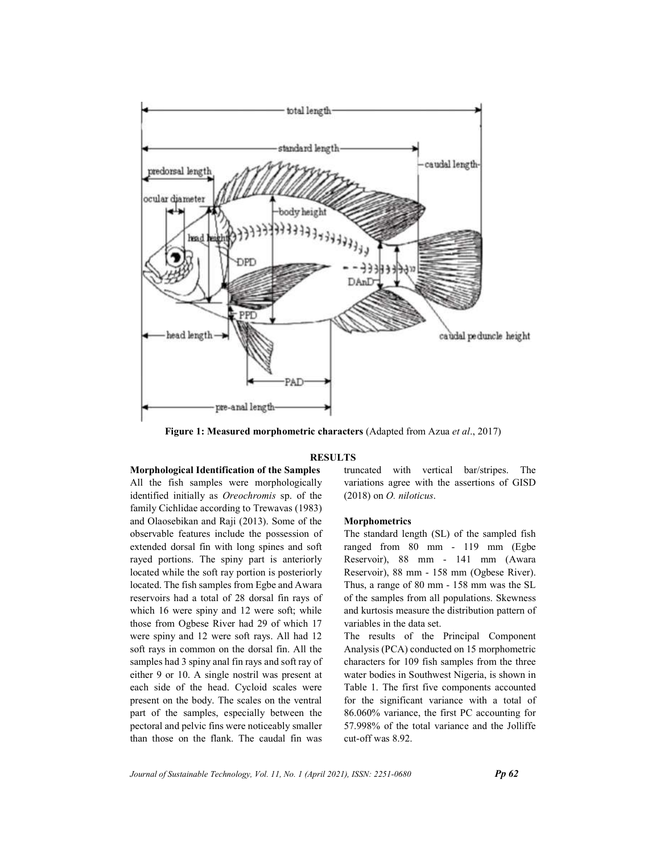

Figure 1: Measured morphometric characters (Adapted from Azua et al., 2017)

#### **RESULTS**

## Morphological Identification of the Samples

All the fish samples were morphologically identified initially as Oreochromis sp. of the family Cichlidae according to Trewavas (1983) and Olaosebikan and Raji (2013). Some of the observable features include the possession of extended dorsal fin with long spines and soft rayed portions. The spiny part is anteriorly located while the soft ray portion is posteriorly located. The fish samples from Egbe and Awara reservoirs had a total of 28 dorsal fin rays of which 16 were spiny and 12 were soft; while those from Ogbese River had 29 of which 17 were spiny and 12 were soft rays. All had 12 soft rays in common on the dorsal fin. All the samples had 3 spiny anal fin rays and soft ray of either 9 or 10. A single nostril was present at each side of the head. Cycloid scales were present on the body. The scales on the ventral part of the samples, especially between the pectoral and pelvic fins were noticeably smaller than those on the flank. The caudal fin was truncated with vertical bar/stripes. The variations agree with the assertions of GISD (2018) on O. niloticus.

#### Morphometrics

The standard length (SL) of the sampled fish ranged from 80 mm - 119 mm (Egbe Reservoir), 88 mm - 141 mm (Awara Reservoir), 88 mm - 158 mm (Ogbese River). Thus, a range of 80 mm - 158 mm was the SL of the samples from all populations. Skewness and kurtosis measure the distribution pattern of variables in the data set.

The results of the Principal Component Analysis (PCA) conducted on 15 morphometric characters for 109 fish samples from the three water bodies in Southwest Nigeria, is shown in Table 1. The first five components accounted for the significant variance with a total of 86.060% variance, the first PC accounting for 57.998% of the total variance and the Jolliffe cut-off was 8.92.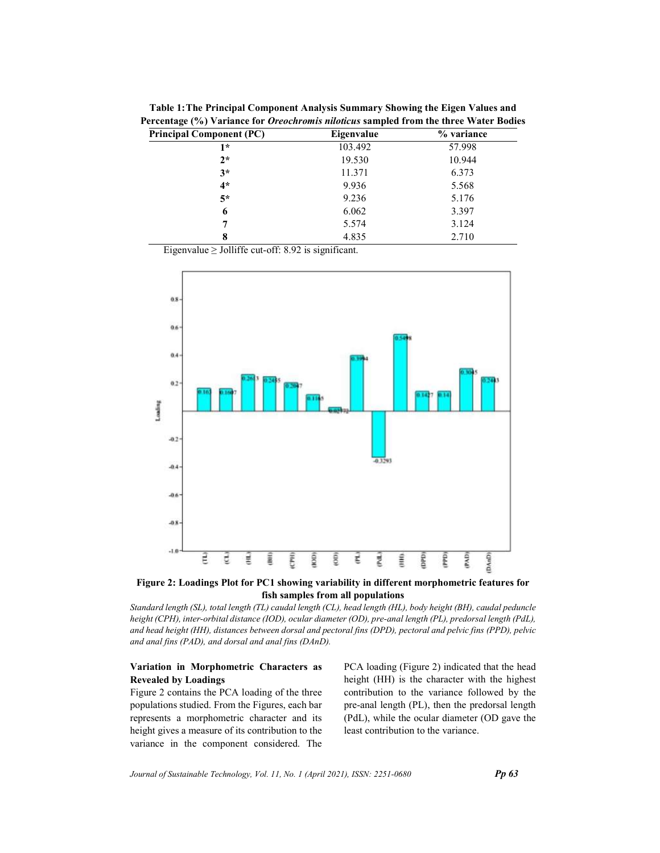| $\overline{\phantom{a}}$ |            |
|--------------------------|------------|
| Eigenvalue               | % variance |
| 103.492                  | 57.998     |
| 19.530                   | 10.944     |
| 11.371                   | 6.373      |
| 9.936                    | 5.568      |
| 9.236                    | 5.176      |
| 6.062                    | 3.397      |
| 5.574                    | 3.124      |
| 4.835                    | 2.710      |
|                          |            |

Table 1: The Principal Component Analysis Summary Showing the Eigen Values and Percentage (%) Variance for Oreochromis niloticus sampled from the three Water Bodies

Eigenvalue  $\geq$  Jolliffe cut-off: 8.92 is significant.



Figure 2: Loadings Plot for PC1 showing variability in different morphometric features for fish samples from all populations

Standard length (SL), total length (TL) caudal length (CL), head length (HL), body height (BH), caudal peduncle height (CPH), inter-orbital distance (IOD), ocular diameter (OD), pre-anal length (PL), predorsal length (PdL), and head height (HH), distances between dorsal and pectoral fins (DPD), pectoral and pelvic fins (PPD), pelvic and anal fins (PAD), and dorsal and anal fins (DAnD).

## Variation in Morphometric Characters as Revealed by Loadings

Figure 2 contains the PCA loading of the three populations studied. From the Figures, each bar represents a morphometric character and its height gives a measure of its contribution to the variance in the component considered. The PCA loading (Figure 2) indicated that the head height (HH) is the character with the highest contribution to the variance followed by the pre-anal length (PL), then the predorsal length (PdL), while the ocular diameter (OD gave the least contribution to the variance.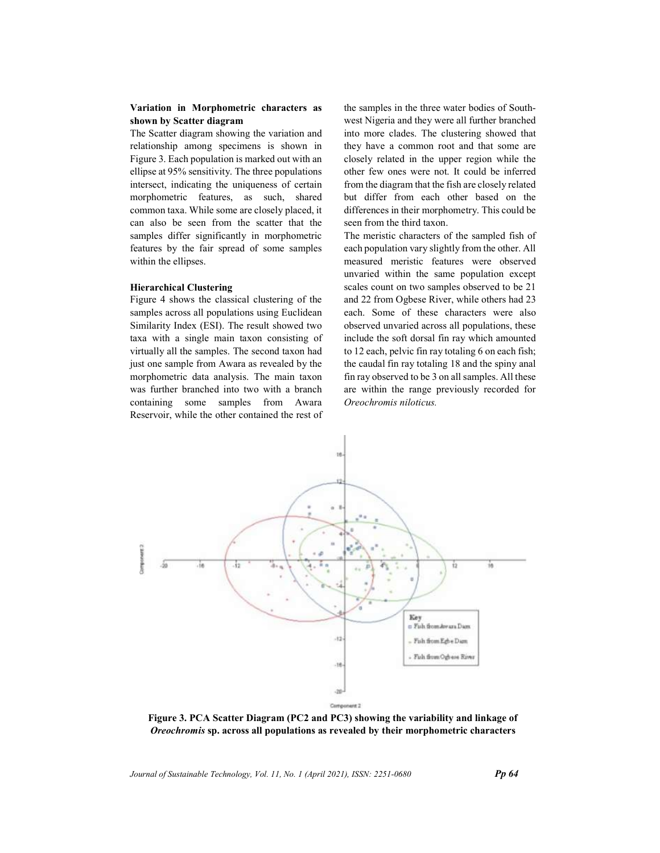## Variation in Morphometric characters as shown by Scatter diagram

The Scatter diagram showing the variation and relationship among specimens is shown in Figure 3. Each population is marked out with an ellipse at 95% sensitivity. The three populations intersect, indicating the uniqueness of certain morphometric features, as such, shared common taxa. While some are closely placed, it can also be seen from the scatter that the samples differ significantly in morphometric features by the fair spread of some samples within the ellipses.

### Hierarchical Clustering

Figure 4 shows the classical clustering of the samples across all populations using Euclidean Similarity Index (ESI). The result showed two taxa with a single main taxon consisting of virtually all the samples. The second taxon had just one sample from Awara as revealed by the morphometric data analysis. The main taxon was further branched into two with a branch containing some samples from Awara Reservoir, while the other contained the rest of the samples in the three water bodies of Southwest Nigeria and they were all further branched into more clades. The clustering showed that they have a common root and that some are closely related in the upper region while the other few ones were not. It could be inferred from the diagram that the fish are closely related but differ from each other based on the differences in their morphometry. This could be seen from the third taxon.

The meristic characters of the sampled fish of each population vary slightly from the other. All measured meristic features were observed unvaried within the same population except scales count on two samples observed to be 21 and 22 from Ogbese River, while others had 23 each. Some of these characters were also observed unvaried across all populations, these include the soft dorsal fin ray which amounted to 12 each, pelvic fin ray totaling 6 on each fish; the caudal fin ray totaling 18 and the spiny anal fin ray observed to be 3 on all samples. All these are within the range previously recorded for Oreochromis niloticus.



Figure 3. PCA Scatter Diagram (PC2 and PC3) showing the variability and linkage of Oreochromis sp. across all populations as revealed by their morphometric characters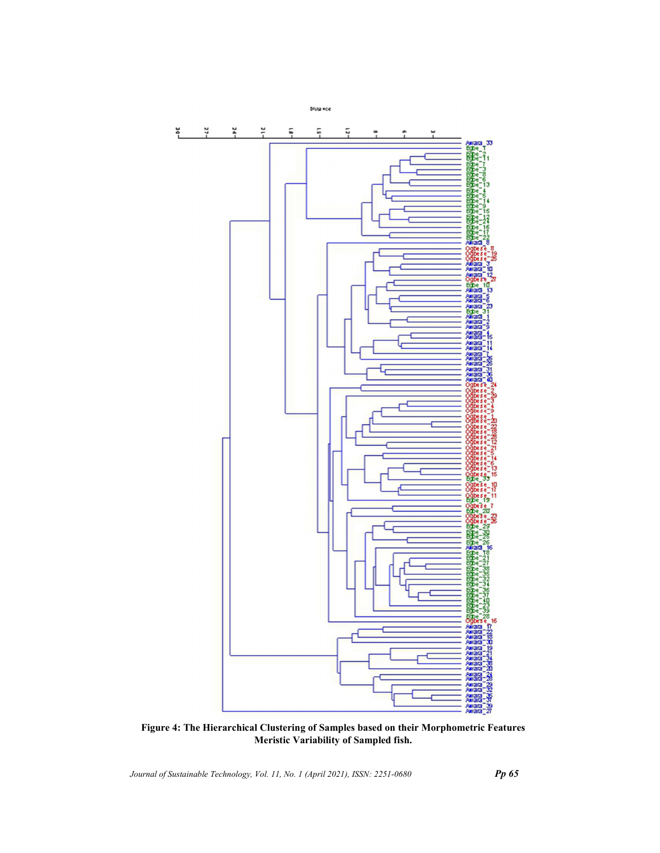

Figure 4: The Hierarchical Clustering of Samples based on their Morphometric Features Meristic Variability of Sampled fish.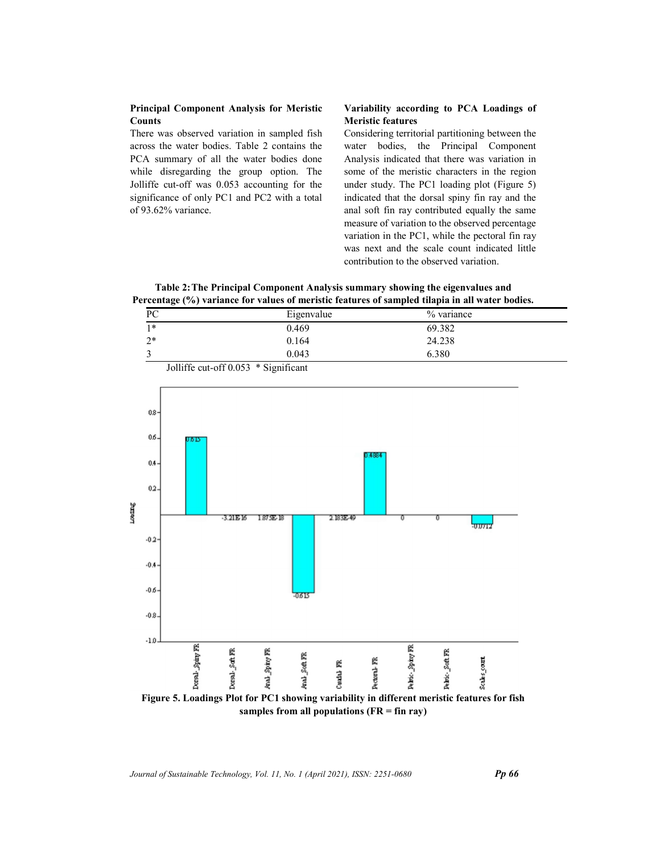## Principal Component Analysis for Meristic Counts

There was observed variation in sampled fish across the water bodies. Table 2 contains the PCA summary of all the water bodies done while disregarding the group option. The Jolliffe cut-off was 0.053 accounting for the significance of only PC1 and PC2 with a total of 93.62% variance.

# Meristic features

**Principal Component Analysis for Meristic** Variability according to PCA Loadings of<br>
Counts<br>
There was observed variation in sampled fish<br>
considering territorial partitioning between the<br>
across the water bodies. Table 2 Considering territorial partitioning between the water bodies, the Principal Component Analysis indicated that there was variation in some of the meristic characters in the region under study. The PC1 loading plot (Figure 5) indicated that the dorsal spiny fin ray and the anal soft fin ray contributed equally the same measure of variation to the observed percentage variation in the PC1, while the pectoral fin ray was next and the scale count indicated little contribution to the observed variation.

Table 2: The Principal Component Analysis summary showing the eigenvalues and Percentage (%) variance for values of meristic features of sampled tilapia in all water bodies.

| PС      | Eigenvalue | % variance |  |
|---------|------------|------------|--|
| $1*$    | 0.469      | 69.382     |  |
| ኅ*<br>∸ | 0.164      | 24.238     |  |
|         | 0.043      | 6.380      |  |



samples from all populations  $(FR = fin ray)$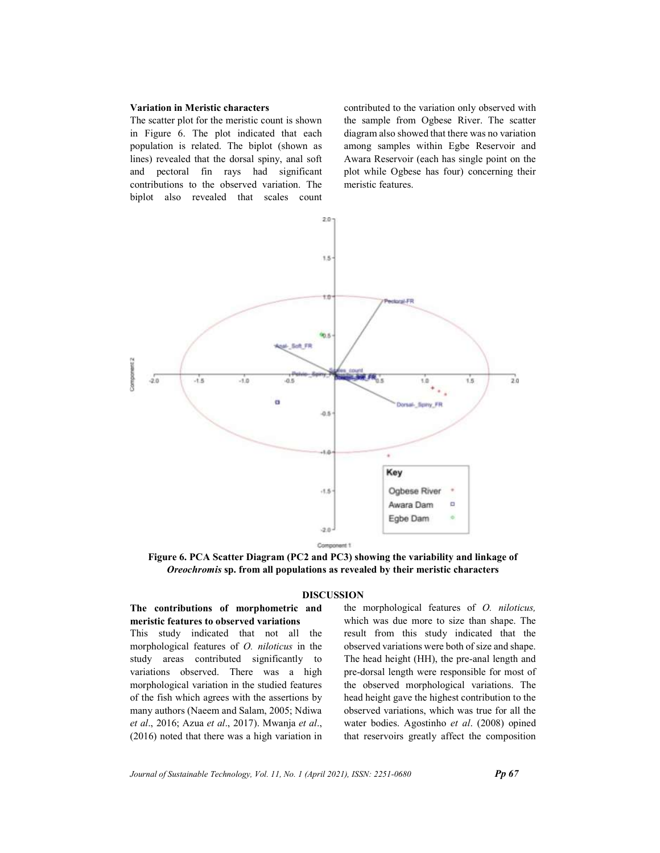#### Variation in Meristic characters

The scatter plot for the meristic count is shown in Figure 6. The plot indicated that each population is related. The biplot (shown as lines) revealed that the dorsal spiny, anal soft and pectoral fin rays had significant contributions to the observed variation. The biplot also revealed that scales count contributed to the variation only observed with the sample from Ogbese River. The scatter diagram also showed that there was no variation among samples within Egbe Reservoir and Awara Reservoir (each has single point on the plot while Ogbese has four) concerning their meristic features.



Figure 6. PCA Scatter Diagram (PC2 and PC3) showing the variability and linkage of Oreochromis sp. from all populations as revealed by their meristic characters

#### DISCUSSION

## The contributions of morphometric and meristic features to observed variations

This study indicated that not all the morphological features of O. niloticus in the study areas contributed significantly to variations observed. There was a high morphological variation in the studied features of the fish which agrees with the assertions by many authors (Naeem and Salam, 2005; Ndiwa et al., 2016; Azua et al., 2017). Mwanja et al., (2016) noted that there was a high variation in the morphological features of O. niloticus, which was due more to size than shape. The result from this study indicated that the observed variations were both of size and shape. The head height (HH), the pre-anal length and pre-dorsal length were responsible for most of the observed morphological variations. The head height gave the highest contribution to the observed variations, which was true for all the water bodies. Agostinho et al. (2008) opined that reservoirs greatly affect the composition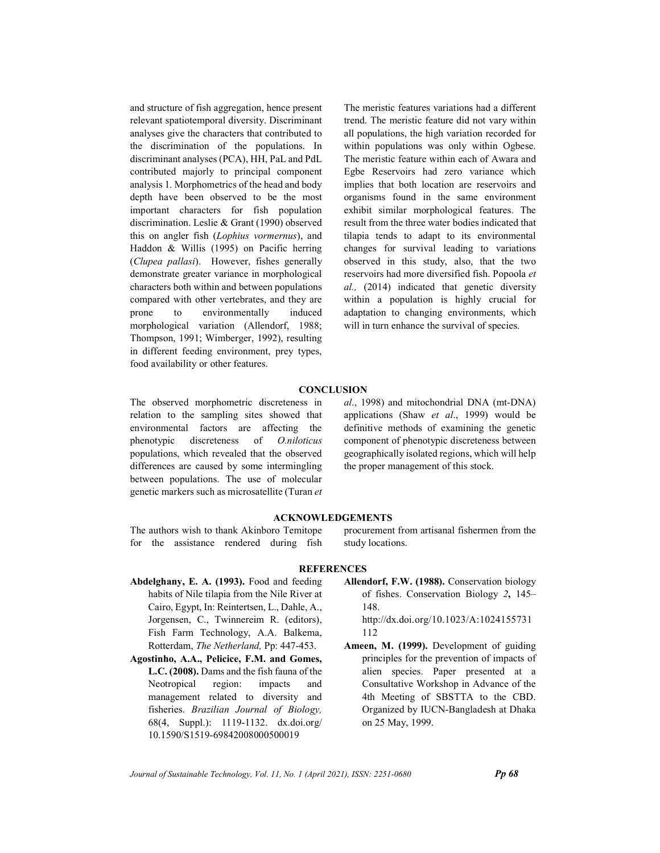and structure of fish aggregation, hence present relevant spatiotemporal diversity. Discriminant analyses give the characters that contributed to the discrimination of the populations. In discriminant analyses (PCA), HH, PaL and PdL contributed majorly to principal component analysis 1. Morphometrics of the head and body depth have been observed to be the most important characters for fish population discrimination. Leslie & Grant (1990) observed this on angler fish (Lophius vormernus), and Haddon & Willis (1995) on Pacific herring (Clupea pallasi). However, fishes generally demonstrate greater variance in morphological characters both within and between populations compared with other vertebrates, and they are prone to environmentally induced morphological variation (Allendorf, 1988; Thompson, 1991; Wimberger, 1992), resulting in different feeding environment, prey types, food availability or other features.

The meristic features variations had a different trend. The meristic feature did not vary within all populations, the high variation recorded for within populations was only within Ogbese. The meristic feature within each of Awara and Egbe Reservoirs had zero variance which implies that both location are reservoirs and organisms found in the same environment exhibit similar morphological features. The result from the three water bodies indicated that tilapia tends to adapt to its environmental changes for survival leading to variations observed in this study, also, that the two reservoirs had more diversified fish. Popoola et al., (2014) indicated that genetic diversity within a population is highly crucial for adaptation to changing environments, which will in turn enhance the survival of species.

## **CONCLUSION**

The observed morphometric discreteness in relation to the sampling sites showed that environmental factors are affecting the phenotypic discreteness of O.niloticus populations, which revealed that the observed differences are caused by some intermingling between populations. The use of molecular genetic markers such as microsatellite (Turan et al., 1998) and mitochondrial DNA (mt-DNA) applications (Shaw et al., 1999) would be definitive methods of examining the genetic component of phenotypic discreteness between geographically isolated regions, which will help the proper management of this stock.

### ACKNOWLEDGEMENTS

The authors wish to thank Akinboro Temitope for the assistance rendered during fish procurement from artisanal fishermen from the study locations.

## **REFERENCES**

- Abdelghany, E. A. (1993). Food and feeding habits of Nile tilapia from the Nile River at Cairo, Egypt, In: Reintertsen, L., Dahle, A., Jorgensen, C., Twinnereim R. (editors), Fish Farm Technology, A.A. Balkema, Rotterdam, The Netherland, Pp: 447-453.
- Agostinho, A.A., Pelicice, F.M. and Gomes, L.C. (2008). Dams and the fish fauna of the Neotropical region: impacts and management related to diversity and fisheries. Brazilian Journal of Biology, 68(4, Suppl.): 1119-1132. dx.doi.org/ 10.1590/S1519-69842008000500019
- Allendorf, F.W. (1988). Conservation biology of fishes. Conservation Biology 2, 145– 148.

http://dx.doi.org/10.1023/A:1024155731 112

Ameen, M. (1999). Development of guiding principles for the prevention of impacts of alien species. Paper presented at a Consultative Workshop in Advance of the 4th Meeting of SBSTTA to the CBD. Organized by IUCN-Bangladesh at Dhaka on 25 May, 1999.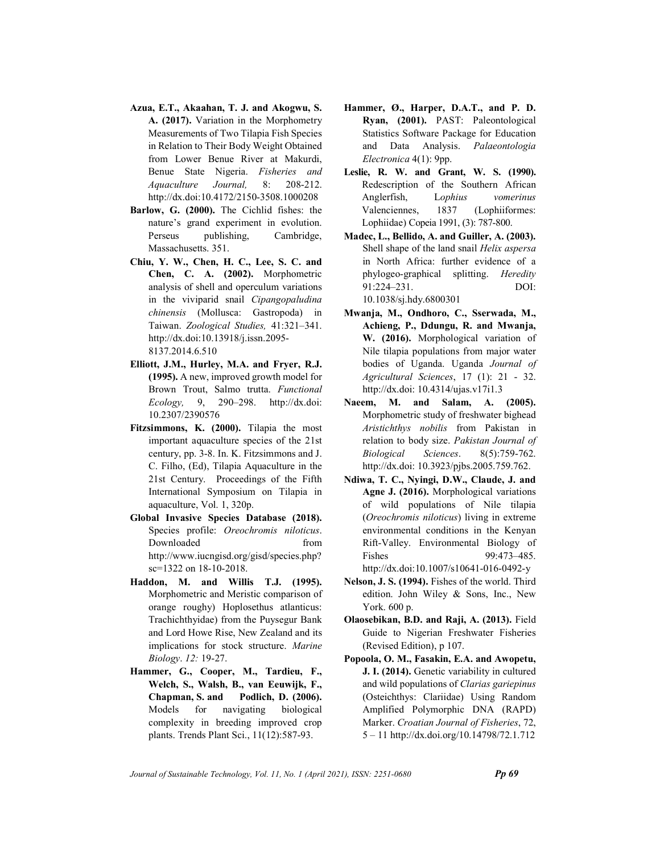- Azua, E.T., Akaahan, T. J. and Akogwu, S. A. (2017). Variation in the Morphometry Measurements of Two Tilapia Fish Species in Relation to Their Body Weight Obtained from Lower Benue River at Makurdi, Benue State Nigeria. Fisheries and Aquaculture Journal, 8: 208-212. http://dx.doi:10.4172/2150-3508.1000208
- Barlow, G. (2000). The Cichlid fishes: the nature's grand experiment in evolution. Perseus publishing, Cambridge, Massachusetts. 351.
- Chiu, Y. W., Chen, H. C., Lee, S. C. and Chen, C. A. (2002). Morphometric analysis of shell and operculum variations in the viviparid snail Cipangopaludina chinensis (Mollusca: Gastropoda) in Taiwan. Zoological Studies, 41:321–341. http://dx.doi:10.13918/j.issn.2095- 8137.2014.6.510
- Elliott, J.M., Hurley, M.A. and Fryer, R.J. (1995). A new, improved growth model for Brown Trout, Salmo trutta. Functional Ecology, 9, 290–298. http://dx.doi: 10.2307/2390576
- Fitzsimmons, K. (2000). Tilapia the most important aquaculture species of the 21st century, pp. 3-8. In. K. Fitzsimmons and J. C. Filho, (Ed), Tilapia Aquaculture in the 21st Century. Proceedings of the Fifth International Symposium on Tilapia in aquaculture, Vol. 1, 320p.
- Global Invasive Species Database (2018). Species profile: Oreochromis niloticus. Downloaded from http://www.iucngisd.org/gisd/species.php? sc=1322 on 18-10-2018.
- Haddon, M. and Willis T.J. (1995). Morphometric and Meristic comparison of orange roughy) Hoplosethus atlanticus: Trachichthyidae) from the Puysegur Bank and Lord Howe Rise, New Zealand and its implications for stock structure. Marine Biology. 12: 19-27.
- Hammer, G., Cooper, M., Tardieu, F., Welch, S., Walsh, B., van Eeuwijk, F., Chapman, S. and Podlich, D. (2006). Models for navigating biological complexity in breeding improved crop plants. Trends Plant Sci., 11(12):587-93.
- Hammer, Ø., Harper, D.A.T., and P. D. Ryan, (2001). PAST: Paleontological Statistics Software Package for Education and Data Analysis. Palaeontologia Electronica 4(1): 9pp.
- Leslie, R. W. and Grant, W. S. (1990). Redescription of the Southern African Anglerfish, Lophius vomerinus Valenciennes, 1837 (Lophiiformes: Lophiidae) Copeia 1991, (3): 787-800.
- Madec, L., Bellido, A. and Guiller, A. (2003). Shell shape of the land snail Helix aspersa in North Africa: further evidence of a phylogeo-graphical splitting. Heredity 91:224–231. DOI: 10.1038/sj.hdy.6800301
- Mwanja, M., Ondhoro, C., Sserwada, M., Achieng, P., Ddungu, R. and Mwanja, W. (2016). Morphological variation of Nile tilapia populations from major water bodies of Uganda. Uganda Journal of Agricultural Sciences, 17 (1): 21 - 32. http://dx.doi: 10.4314/ujas.v17i1.3
- Naeem, M. and Salam, A. (2005). Morphometric study of freshwater bighead Aristichthys nobilis from Pakistan in relation to body size. Pakistan Journal of Biological Sciences. 8(5):759-762. http://dx.doi: 10.3923/pjbs.2005.759.762.
- Ndiwa, T. C., Nyingi, D.W., Claude, J. and Agne J. (2016). Morphological variations of wild populations of Nile tilapia (Oreochromis niloticus) living in extreme environmental conditions in the Kenyan Rift-Valley. Environmental Biology of Fishes 99:473-485. http://dx.doi:10.1007/s10641-016-0492-y
- Nelson, J. S. (1994). Fishes of the world. Third edition. John Wiley & Sons, Inc., New York. 600 p.
- Olaosebikan, B.D. and Raji, A. (2013). Field Guide to Nigerian Freshwater Fisheries (Revised Edition), p 107.
- Popoola, O. M., Fasakin, E.A. and Awopetu, J. I. (2014). Genetic variability in cultured and wild populations of Clarias gariepinus (Osteichthys: Clariidae) Using Random Amplified Polymorphic DNA (RAPD) Marker. Croatian Journal of Fisheries, 72, 5 – 11 http://dx.doi.org/10.14798/72.1.712